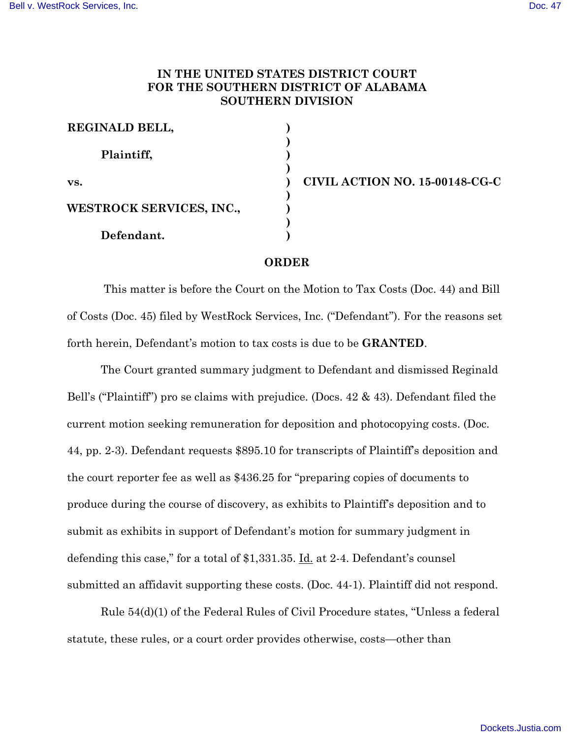## **IN THE UNITED STATES DISTRICT COURT FOR THE SOUTHERN DISTRICT OF ALABAMA SOUTHERN DIVISION**

| REGINALD BELL,           |  |
|--------------------------|--|
| Plaintiff,               |  |
| VS.                      |  |
| WESTROCK SERVICES, INC., |  |
| Defendant.               |  |

**vs. ) CIVIL ACTION NO. 15-00148-CG-C**

## **ORDER**

This matter is before the Court on the Motion to Tax Costs (Doc. 44) and Bill of Costs (Doc. 45) filed by WestRock Services, Inc. ("Defendant"). For the reasons set forth herein, Defendant's motion to tax costs is due to be **GRANTED**.

The Court granted summary judgment to Defendant and dismissed Reginald Bell's ("Plaintiff") pro se claims with prejudice. (Docs. 42 & 43). Defendant filed the current motion seeking remuneration for deposition and photocopying costs. (Doc. 44, pp. 2-3). Defendant requests \$895.10 for transcripts of Plaintiff's deposition and the court reporter fee as well as \$436.25 for "preparing copies of documents to produce during the course of discovery, as exhibits to Plaintiff's deposition and to submit as exhibits in support of Defendant's motion for summary judgment in defending this case," for a total of \$1,331.35. Id. at 2-4. Defendant's counsel submitted an affidavit supporting these costs. (Doc. 44-1). Plaintiff did not respond.

Rule 54(d)(1) of the Federal Rules of Civil Procedure states, "Unless a federal statute, these rules, or a court order provides otherwise, costs—other than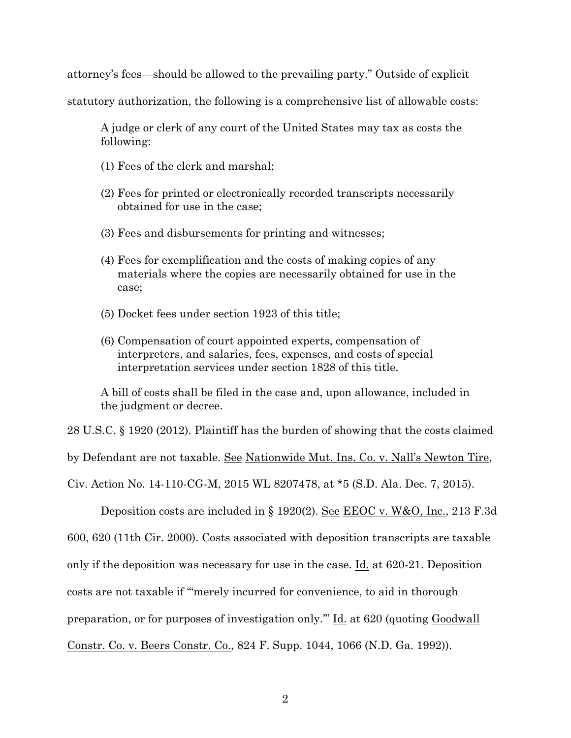attorney's fees—should be allowed to the prevailing party." Outside of explicit

statutory authorization, the following is a comprehensive list of allowable costs:

A judge or clerk of any court of the United States may tax as costs the following:

- (1) Fees of the clerk and marshal;
- (2) Fees for printed or electronically recorded transcripts necessarily obtained for use in the case;
- (3) Fees and disbursements for printing and witnesses;
- (4) Fees for exemplification and the costs of making copies of any materials where the copies are necessarily obtained for use in the case;
- (5) Docket fees under section 1923 of this title;
- (6) Compensation of court appointed experts, compensation of interpreters, and salaries, fees, expenses, and costs of special interpretation services under section 1828 of this title.

A bill of costs shall be filed in the case and, upon allowance, included in the judgment or decree.

28 U.S.C. § 1920 (2012). Plaintiff has the burden of showing that the costs claimed by Defendant are not taxable. See Nationwide Mut. Ins. Co. v. Nall's Newton Tire, Civ. Action No. 14-110-CG-M, 2015 WL 8207478, at \*5 (S.D. Ala. Dec. 7, 2015).

Deposition costs are included in § 1920(2). See EEOC v. W&O, Inc., 213 F.3d 600, 620 (11th Cir. 2000). Costs associated with deposition transcripts are taxable only if the deposition was necessary for use in the case. Id. at 620-21. Deposition costs are not taxable if "'merely incurred for convenience, to aid in thorough preparation, or for purposes of investigation only.'" Id. at 620 (quoting Goodwall Constr. Co. v. Beers Constr. Co., 824 F. Supp. 1044, 1066 (N.D. Ga. 1992)).